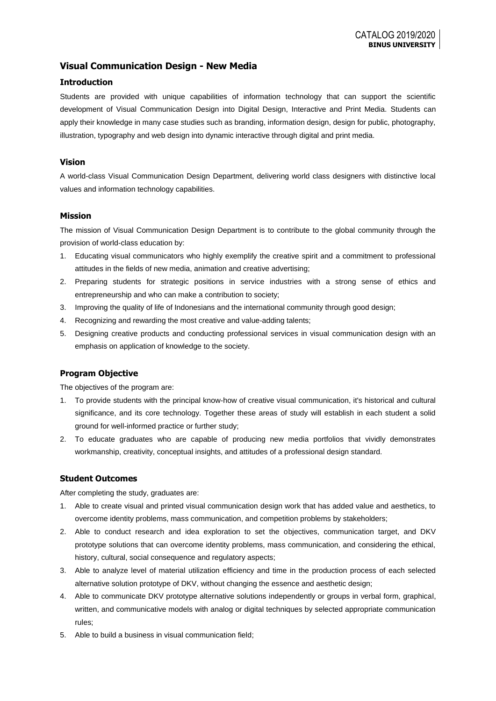# **Visual Communication Design - New Media**

### **Introduction**

Students are provided with unique capabilities of information technology that can support the scientific development of Visual Communication Design into Digital Design, Interactive and Print Media. Students can apply their knowledge in many case studies such as branding, information design, design for public, photography, illustration, typography and web design into dynamic interactive through digital and print media.

### **Vision**

A world-class Visual Communication Design Department, delivering world class designers with distinctive local values and information technology capabilities.

### **Mission**

The mission of Visual Communication Design Department is to contribute to the global community through the provision of world-class education by:

- 1. Educating visual communicators who highly exemplify the creative spirit and a commitment to professional attitudes in the fields of new media, animation and creative advertising;
- 2. Preparing students for strategic positions in service industries with a strong sense of ethics and entrepreneurship and who can make a contribution to society;
- 3. Improving the quality of life of Indonesians and the international community through good design;
- 4. Recognizing and rewarding the most creative and value-adding talents;
- 5. Designing creative products and conducting professional services in visual communication design with an emphasis on application of knowledge to the society.

## **Program Objective**

The objectives of the program are:

- 1. To provide students with the principal know-how of creative visual communication, it's historical and cultural significance, and its core technology. Together these areas of study will establish in each student a solid ground for well-informed practice or further study;
- 2. To educate graduates who are capable of producing new media portfolios that vividly demonstrates workmanship, creativity, conceptual insights, and attitudes of a professional design standard.

### **Student Outcomes**

After completing the study, graduates are:

- 1. Able to create visual and printed visual communication design work that has added value and aesthetics, to overcome identity problems, mass communication, and competition problems by stakeholders;
- 2. Able to conduct research and idea exploration to set the objectives, communication target, and DKV prototype solutions that can overcome identity problems, mass communication, and considering the ethical, history, cultural, social consequence and regulatory aspects;
- 3. Able to analyze level of material utilization efficiency and time in the production process of each selected alternative solution prototype of DKV, without changing the essence and aesthetic design;
- 4. Able to communicate DKV prototype alternative solutions independently or groups in verbal form, graphical, written, and communicative models with analog or digital techniques by selected appropriate communication rules;
- 5. Able to build a business in visual communication field;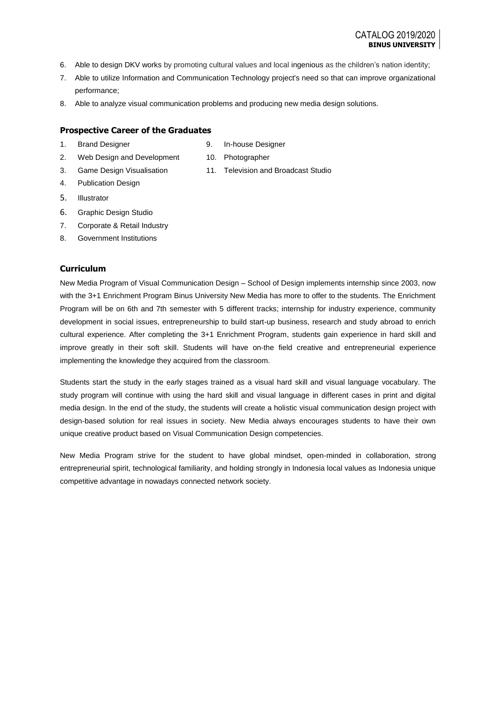- 6. Able to design DKV works by promoting cultural values and local ingenious as the children's nation identity;
- 7. Able to utilize Information and Communication Technology project's need so that can improve organizational performance;
- 8. Able to analyze visual communication problems and producing new media design solutions.

### **Prospective Career of the Graduates**

1. Brand Designer

- 9. In-house Designer
- 2. Web Design and Development 3. Game Design Visualisation
- 10. Photographer
- 4. Publication Design
- 5. Illustrator
- 6. Graphic Design Studio
- 7. Corporate & Retail Industry
- 8. Government Institutions

## **Curriculum**

New Media Program of Visual Communication Design – School of Design implements internship since 2003, now with the 3+1 Enrichment Program Binus University New Media has more to offer to the students. The Enrichment Program will be on 6th and 7th semester with 5 different tracks; internship for industry experience, community development in social issues, entrepreneurship to build start-up business, research and study abroad to enrich cultural experience. After completing the 3+1 Enrichment Program, students gain experience in hard skill and improve greatly in their soft skill. Students will have on-the field creative and entrepreneurial experience implementing the knowledge they acquired from the classroom.

Students start the study in the early stages trained as a visual hard skill and visual language vocabulary. The study program will continue with using the hard skill and visual language in different cases in print and digital media design. In the end of the study, the students will create a holistic visual communication design project with design-based solution for real issues in society. New Media always encourages students to have their own unique creative product based on Visual Communication Design competencies.

New Media Program strive for the student to have global mindset, open-minded in collaboration, strong entrepreneurial spirit, technological familiarity, and holding strongly in Indonesia local values as Indonesia unique competitive advantage in nowadays connected network society.

- 
- 
- 11. Television and Broadcast Studio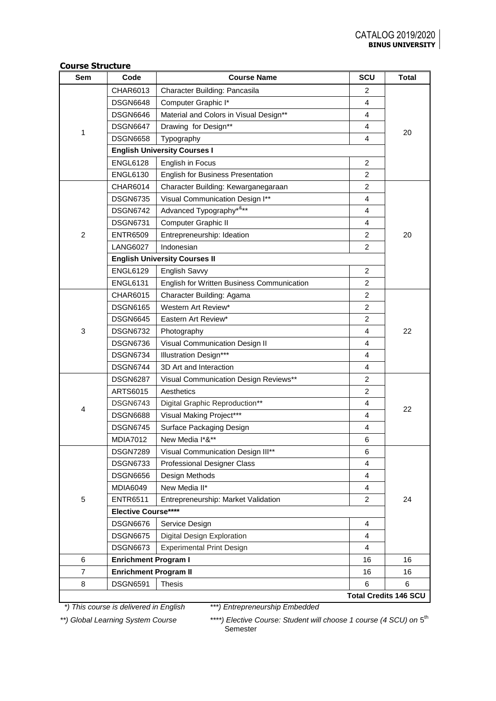|  | <b>Course Structure</b> |
|--|-------------------------|
|--|-------------------------|

| Sem            | Code                         | <b>Course Name</b>                         | SCU            | <b>Total</b>                 |
|----------------|------------------------------|--------------------------------------------|----------------|------------------------------|
|                | CHAR6013                     | Character Building: Pancasila              | 2              |                              |
|                | <b>DSGN6648</b>              | Computer Graphic I*                        | 4              |                              |
|                | <b>DSGN6646</b>              | Material and Colors in Visual Design**     | $\overline{4}$ |                              |
|                | <b>DSGN6647</b>              | Drawing for Design**                       | 4              |                              |
| 1              | <b>DSGN6658</b>              | Typography                                 | 4              | 20                           |
|                |                              | <b>English University Courses I</b>        |                |                              |
|                | <b>ENGL6128</b>              | English in Focus                           | $\overline{2}$ |                              |
|                | <b>ENGL6130</b>              | <b>English for Business Presentation</b>   | $\overline{2}$ |                              |
|                | <b>CHAR6014</b>              | Character Building: Kewarganegaraan        | 2              |                              |
|                | <b>DSGN6735</b>              | Visual Communication Design I**            | 4              |                              |
|                | <b>DSGN6742</b>              | Advanced Typography*&**                    | 4              |                              |
|                | <b>DSGN6731</b>              | Computer Graphic II                        | 4              |                              |
| $\overline{2}$ | <b>ENTR6509</b>              | Entrepreneurship: Ideation                 | 2              | 20                           |
|                | <b>LANG6027</b>              | Indonesian                                 | $\overline{2}$ |                              |
|                |                              | <b>English University Courses II</b>       |                |                              |
|                | <b>ENGL6129</b>              | <b>English Savvy</b>                       | 2              |                              |
|                | <b>ENGL6131</b>              | English for Written Business Communication | 2              |                              |
|                | <b>CHAR6015</b>              | Character Building: Agama                  | $\overline{2}$ |                              |
|                | <b>DSGN6165</b>              | Western Art Review*                        | 2              |                              |
|                | <b>DSGN6645</b>              | Eastern Art Review*                        | $\overline{2}$ |                              |
| 3              | <b>DSGN6732</b>              | Photography                                | 4              | 22                           |
|                | <b>DSGN6736</b>              | Visual Communication Design II             | 4              |                              |
|                | <b>DSGN6734</b>              | <b>Illustration Design***</b>              | 4              |                              |
|                | <b>DSGN6744</b>              | 3D Art and Interaction                     | 4              |                              |
|                | <b>DSGN6287</b>              | Visual Communication Design Reviews**      | 2              |                              |
|                | <b>ARTS6015</b>              | Aesthetics                                 | $\overline{c}$ |                              |
| 4              | <b>DSGN6743</b>              | Digital Graphic Reproduction**             | 4              | 22                           |
|                | <b>DSGN6688</b>              | Visual Making Project***                   | 4              |                              |
|                | <b>DSGN6745</b>              | Surface Packaging Design                   | 4              |                              |
|                | <b>MDIA7012</b>              | New Media I*&**                            | 6              |                              |
|                | <b>DSGN7289</b>              | Visual Communication Design III**          | 6              |                              |
|                | <b>DSGN6733</b>              | <b>Professional Designer Class</b>         | 4              |                              |
|                | <b>DSGN6656</b>              | Design Methods                             | 4              |                              |
|                | <b>MDIA6049</b>              | New Media II*                              | 4              |                              |
| 5              | <b>ENTR6511</b>              | Entrepreneurship: Market Validation        | 2              | 24                           |
|                | Elective Course****          |                                            |                |                              |
|                | <b>DSGN6676</b>              | Service Design                             | 4              |                              |
|                | <b>DSGN6675</b>              | Digital Design Exploration                 | 4              |                              |
|                | <b>DSGN6673</b>              | <b>Experimental Print Design</b>           | 4              |                              |
| 6              | <b>Enrichment Program I</b>  |                                            | 16             | 16                           |
| $\overline{7}$ | <b>Enrichment Program II</b> |                                            | 16             | 16                           |
| 8              | <b>DSGN6591</b>              | <b>Thesis</b>                              | 6              | 6                            |
|                |                              |                                            |                | <b>Total Credits 146 SCU</b> |

 *\*) This course is delivered in English \*\*\*) Entrepreneurship Embedded*

\*\*) Global Learning System Course **\*\*\*\***) Elective Course: Student will choose 1 course (4 SCU) on 5<sup>th</sup> Semester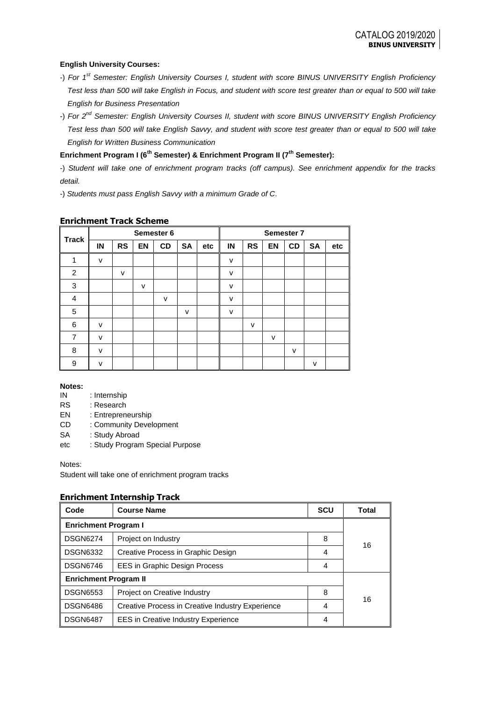### **English University Courses:**

- -) *For 1st Semester: English University Courses I, student with score BINUS UNIVERSITY English Proficiency Test less than 500 will take English in Focus, and student with score test greater than or equal to 500 will take English for Business Presentation*
- -) *For 2nd Semester: English University Courses II, student with score BINUS UNIVERSITY English Proficiency Test less than 500 will take English Savvy, and student with score test greater than or equal to 500 will take English for Written Business Communication*

## **Enrichment Program I (6th Semester) & Enrichment Program II (7th Semester):**

-) *Student will take one of enrichment program tracks (off campus). See enrichment appendix for the tracks detail.*

-) *Students must pass English Savvy with a minimum Grade of C*.

|              | Semester 6 |           |    |              |           | Semester 7 |        |              |           |           |           |     |
|--------------|------------|-----------|----|--------------|-----------|------------|--------|--------------|-----------|-----------|-----------|-----|
| <b>Track</b> | IN         | <b>RS</b> | EN | CD           | <b>SA</b> | etc        | IN     | <b>RS</b>    | <b>EN</b> | <b>CD</b> | <b>SA</b> | etc |
| 1            | $\vee$     |           |    |              |           |            | $\vee$ |              |           |           |           |     |
| 2            |            | v         |    |              |           |            | v      |              |           |           |           |     |
| 3            |            |           | v  |              |           |            | v      |              |           |           |           |     |
| 4            |            |           |    | $\mathsf{v}$ |           |            | v      |              |           |           |           |     |
| 5            |            |           |    |              | v         |            | v      |              |           |           |           |     |
| 6            | $\vee$     |           |    |              |           |            |        | $\mathsf{v}$ |           |           |           |     |
| 7            | $\vee$     |           |    |              |           |            |        |              | $\vee$    |           |           |     |
| 8            | v          |           |    |              |           |            |        |              |           | $\vee$    |           |     |
| 9            | v          |           |    |              |           |            |        |              |           |           | v         |     |

## **Enrichment Track Scheme**

### **Notes:**

IN : Internship

RS : Research

EN : Entrepreneurship

CD : Community Development

- SA : Study Abroad
- etc : Study Program Special Purpose

Notes:

Student will take one of enrichment program tracks

### **Enrichment Internship Track**

| Code                         | <b>Course Name</b>                               | <b>SCU</b> | Total |
|------------------------------|--------------------------------------------------|------------|-------|
| <b>Enrichment Program I</b>  |                                                  |            |       |
| <b>DSGN6274</b>              | Project on Industry                              | 8          | 16    |
| <b>DSGN6332</b>              | Creative Process in Graphic Design               | 4          |       |
| <b>DSGN6746</b>              | EES in Graphic Design Process                    | 4          |       |
| <b>Enrichment Program II</b> |                                                  |            |       |
| <b>DSGN6553</b>              | Project on Creative Industry                     | 8          | 16    |
| <b>DSGN6486</b>              | Creative Process in Creative Industry Experience | 4          |       |
| <b>DSGN6487</b>              | <b>EES</b> in Creative Industry Experience       | 4          |       |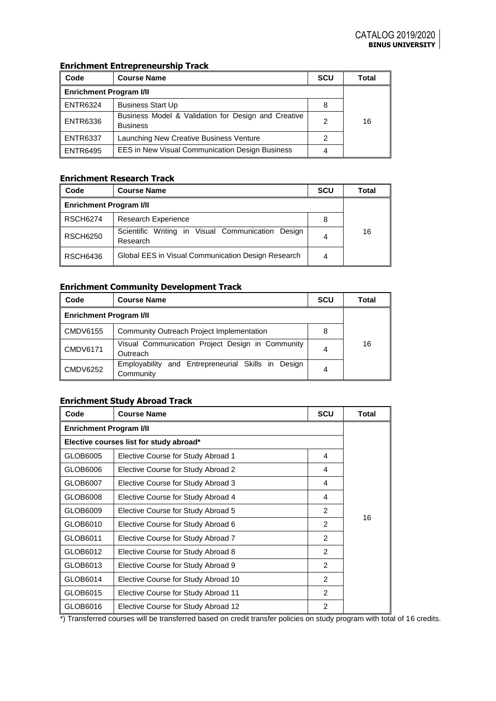# **Enrichment Entrepreneurship Track**

| Code                           | <b>Course Name</b>                                                     | SCU | Total |  |  |
|--------------------------------|------------------------------------------------------------------------|-----|-------|--|--|
| <b>Enrichment Program I/II</b> |                                                                        |     |       |  |  |
| <b>ENTR6324</b>                | <b>Business Start Up</b>                                               | 8   |       |  |  |
| <b>ENTR6336</b>                | Business Model & Validation for Design and Creative<br><b>Business</b> | 2   | 16    |  |  |
| <b>ENTR6337</b>                | Launching New Creative Business Venture                                |     |       |  |  |
| <b>ENTR6495</b>                | <b>EES in New Visual Communication Design Business</b>                 |     |       |  |  |

# **Enrichment Research Track**

| Code                           | <b>Course Name</b>                                               | Total |    |
|--------------------------------|------------------------------------------------------------------|-------|----|
| <b>Enrichment Program I/II</b> |                                                                  |       |    |
| <b>RSCH6274</b>                | <b>Research Experience</b>                                       | 8     |    |
| <b>RSCH6250</b>                | in Visual Communication Design<br>Scientific Writing<br>Research | 4     | 16 |
| <b>RSCH6436</b>                | Global EES in Visual Communication Design Research               | 4     |    |

## **Enrichment Community Development Track**

| Code                           | <b>Course Name</b>                                                 | <b>SCU</b> | Total |  |
|--------------------------------|--------------------------------------------------------------------|------------|-------|--|
| <b>Enrichment Program I/II</b> |                                                                    |            |       |  |
| CMDV6155                       | Community Outreach Project Implementation                          |            |       |  |
| <b>CMDV6171</b>                | Visual Communication Project Design in Community<br>4<br>Outreach  |            |       |  |
| <b>CMDV6252</b>                | and Entrepreneurial Skills in Design<br>Employability<br>Community | 4          |       |  |

# **Enrichment Study Abroad Track**

| Code                           | <b>Course Name</b>                      | <b>Total</b>   |    |
|--------------------------------|-----------------------------------------|----------------|----|
| <b>Enrichment Program I/II</b> |                                         |                |    |
|                                | Elective courses list for study abroad* |                |    |
| GLOB6005                       | Elective Course for Study Abroad 1      | 4              |    |
| GLOB6006                       | Elective Course for Study Abroad 2      | 4              |    |
| GLOB6007                       | Elective Course for Study Abroad 3      | 4              |    |
| GLOB6008                       | Elective Course for Study Abroad 4      | 4              |    |
| GLOB6009                       | Elective Course for Study Abroad 5      | $\overline{2}$ | 16 |
| GLOB6010                       | Elective Course for Study Abroad 6      | $\mathcal{P}$  |    |
| GLOB6011                       | Elective Course for Study Abroad 7      | $\mathcal{P}$  |    |
| GLOB6012                       | Elective Course for Study Abroad 8      | $\mathfrak{p}$ |    |
| GLOB6013                       | Elective Course for Study Abroad 9      | $\mathcal{P}$  |    |
| GLOB6014                       | Elective Course for Study Abroad 10     | $\mathfrak{p}$ |    |
| GLOB6015                       | Elective Course for Study Abroad 11     | $\mathfrak{p}$ |    |
| GLOB6016                       | Elective Course for Study Abroad 12     | 2              |    |

\*) Transferred courses will be transferred based on credit transfer policies on study program with total of 16 credits.